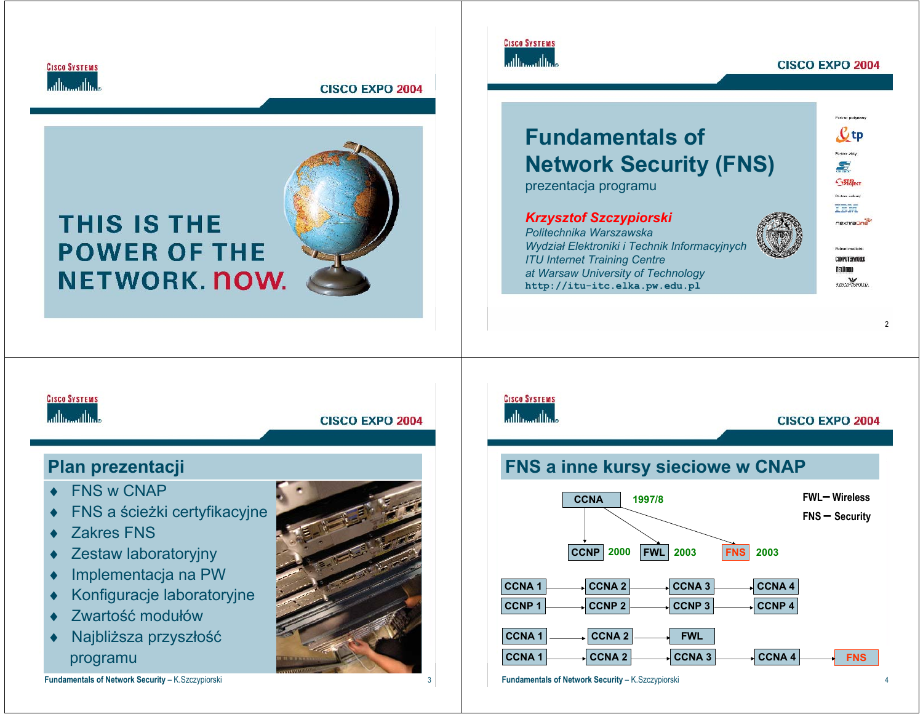

# **THIS IS THE POWER OF THE NETWORK NOW.**



# **Fundamentals ofNetwork Security (FNS)**

prezentacja programu

## *Krzysztof Szczypiorski*

*Politechnika WarszawskaWydział Elektroniki i Technik Informacyjnych ITU Internet Training Centre at Warsaw University of Technology* **http://itu-itc.elka.pw.edu.pl**



COMPUTERWORLD **METWEEN** szeczyckie out

**CISCO SYSTEMS** athamatha

**CISCO EXPO 2004** 

# **Plan prezentacji**

- ♦FNS w CNAP
- ♦FNS a ścieżki certyfikacyjne
- ♦Zakres FNS
- ♦Zestaw laboratoryjny
- ♦Implementacja na PW
- ♦Konfiguracje laboratoryjne
- ♦Zwartość modułów
- ♦ Najbliższa przyszłość programu

**Fundamentals of Network Security – K.Szczypiorski** 



# **CISCO SYSTEMS**

**CISCO SYSTEMS** حباله حبالها

**Fundamentals of Network Security** – K.Szczypiorski <sup>1</sup> <sup>2</sup>

أعطاس عطاسا

**CISCO EXPO 2004** 

# **FNS a inne kursy sieciowe w CNAP**



**Fundamentals of Network Security – K.Szczypiorski** 

#### **CISCO EXPO 2004**

e<br>Partinen pradymow  $\mathcal{C}$  tp Partner ality S.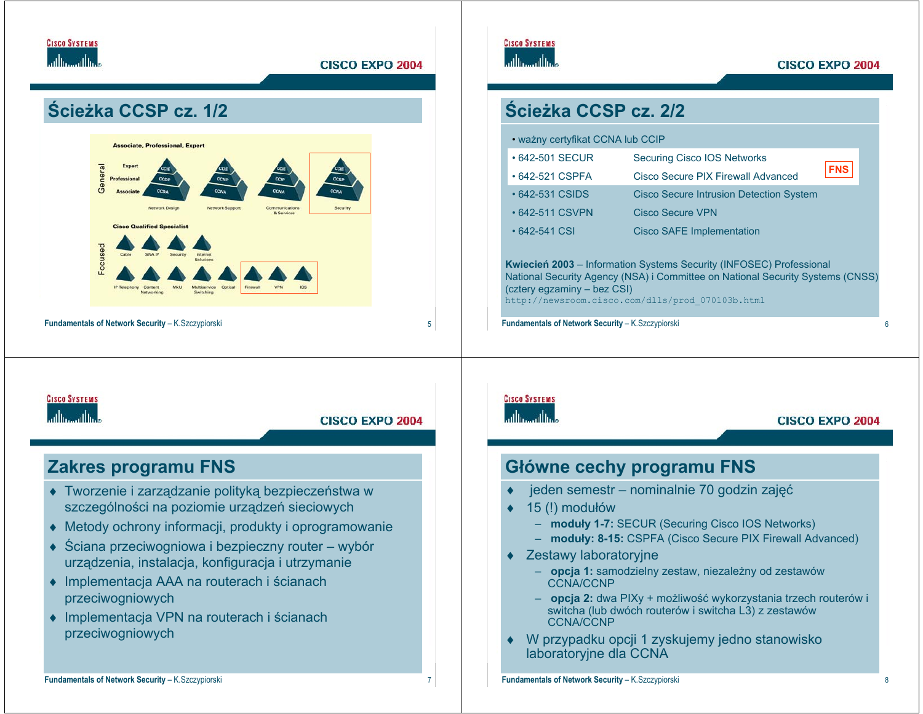





| • ważny certyfikat CCNA lub CCIP                                                                                                                                                                                                                |                                                  |  |  |  |  |
|-------------------------------------------------------------------------------------------------------------------------------------------------------------------------------------------------------------------------------------------------|--------------------------------------------------|--|--|--|--|
| $\cdot$ 642-501 SECUR                                                                                                                                                                                                                           | <b>Securing Cisco IOS Networks</b>               |  |  |  |  |
| • 642-521 CSPFA                                                                                                                                                                                                                                 | <b>FNS</b><br>Cisco Secure PIX Firewall Advanced |  |  |  |  |
| $\cdot$ 642-531 CSIDS                                                                                                                                                                                                                           | <b>Cisco Secure Intrusion Detection System</b>   |  |  |  |  |
| $\cdot$ 642-511 CSVPN                                                                                                                                                                                                                           | Cisco Secure VPN                                 |  |  |  |  |
| $\cdot$ 642-541 CSI                                                                                                                                                                                                                             | <b>Cisco SAFE Implementation</b>                 |  |  |  |  |
| <b>Kwiecien 2003</b> – Information Systems Security (INFOSEC) Professional<br>National Security Agency (NSA) i Committee on National Security Systems (CNSS)<br>(cztery egzaminy – bez CSI)<br>http://newsroom.cisco.com/dlls/prod 070103b.html |                                                  |  |  |  |  |
| Fundamentals of Network Security - K.Szczypiorski                                                                                                                                                                                               |                                                  |  |  |  |  |

# **CISCO SYSTEMS**

**CISCO SYSTEMS** 

### **CISCO EXPO 2004**

# **Główne cechy programu FNS**

- jeden semestr nominalnie 70 godzin zajęć
- 15 (!) modułów
	- **moduły 1-7:** SECUR (Securing Cisco IOS Networks)
	- **moduły: 8-15:** CSPFA (Cisco Secure PIX Firewall Advanced)
- ♦ Zestawy laboratoryjne
	- **opcja 1:** samodzielny zestaw, niezależny od zestawów CCNA/CCNP
	- **opcja 2:** dwa PIXy + możliwość wykorzystania trzech routerów i switcha (lub dwóch routerów i switcha L3) z zestawów CCNA/CCNP
- W przypadku opcji 1 zyskujemy jedno stanowisko laboratoryjne dla CCNA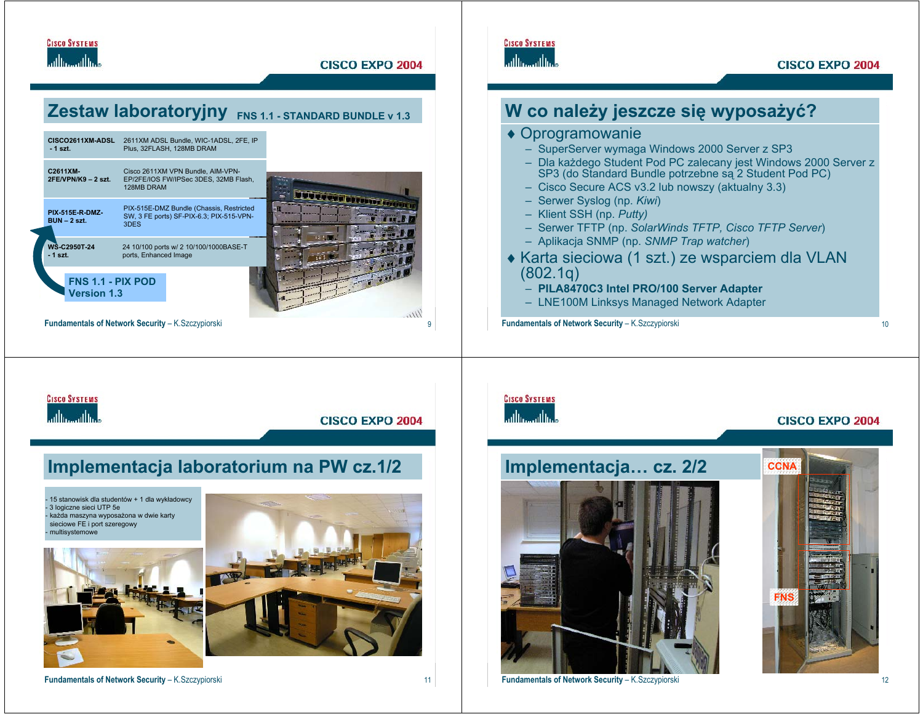**CISCO EXPO 2004** 

# **Zestaw laboratoryjny FNS 1.1 - STANDARD BUNDLE v 1.3**



**Implementacja laboratorium na PW cz.1/2**

## **CISCO SYSTEMS** عباله عبالها

#### **CISCO EXPO 2004**



![](_page_2_Picture_7.jpeg)

15 stanowisk dla studentów + 1 dla wykładowcy

 każda maszyna wyposażona w dwie karty sieciowe FE i port szeregowy

- 3 logiczne sieci UTP 5e

**CISCO SYSTEMS** 

adha adha

**Fundamentals of Network Security** – K.Szczypiorski <sup>11</sup>

**Fundamentals of Network Security** – K.Szczypiorski <sup>12</sup>

**FNS**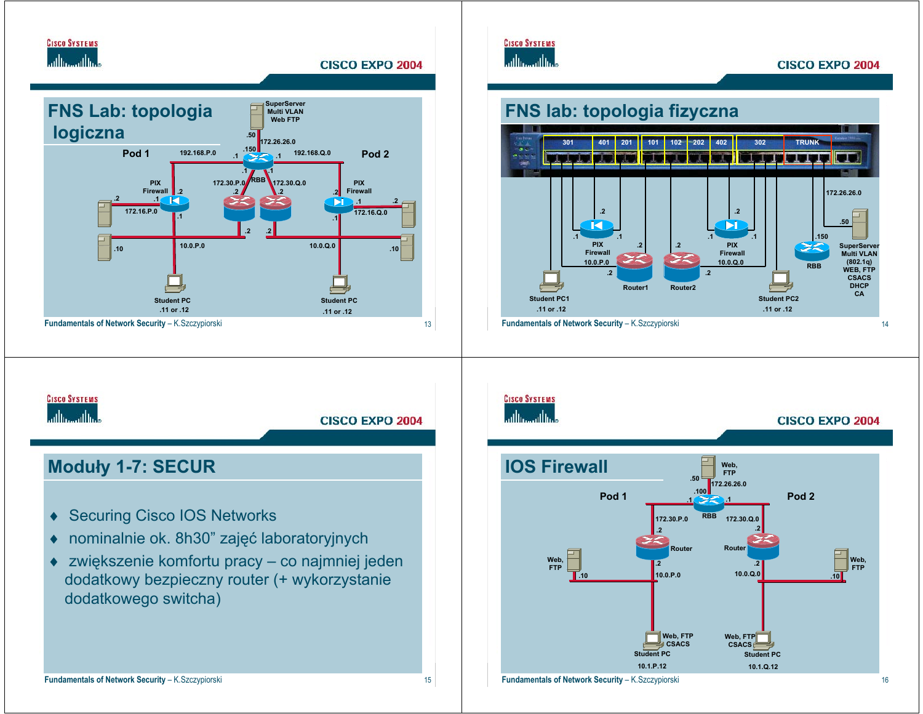![](_page_3_Picture_0.jpeg)

![](_page_3_Figure_1.jpeg)

![](_page_3_Picture_2.jpeg)

![](_page_3_Figure_3.jpeg)

![](_page_3_Figure_4.jpeg)

**10.1.Q.12**

**Student PC**

**Web, FTP CSACS**

**.2**

**10.0.Q.0**

![](_page_3_Figure_5.jpeg)

**Fundamentals of Network Security** – K.Szczypiorski <sup>16</sup>

**CISCO SYSTEMS** 

**10.1.P.12**

**Student PC**

**.2**

**10.0.P.0**

**Web, FTP CSACS**

**FTP**

**.10**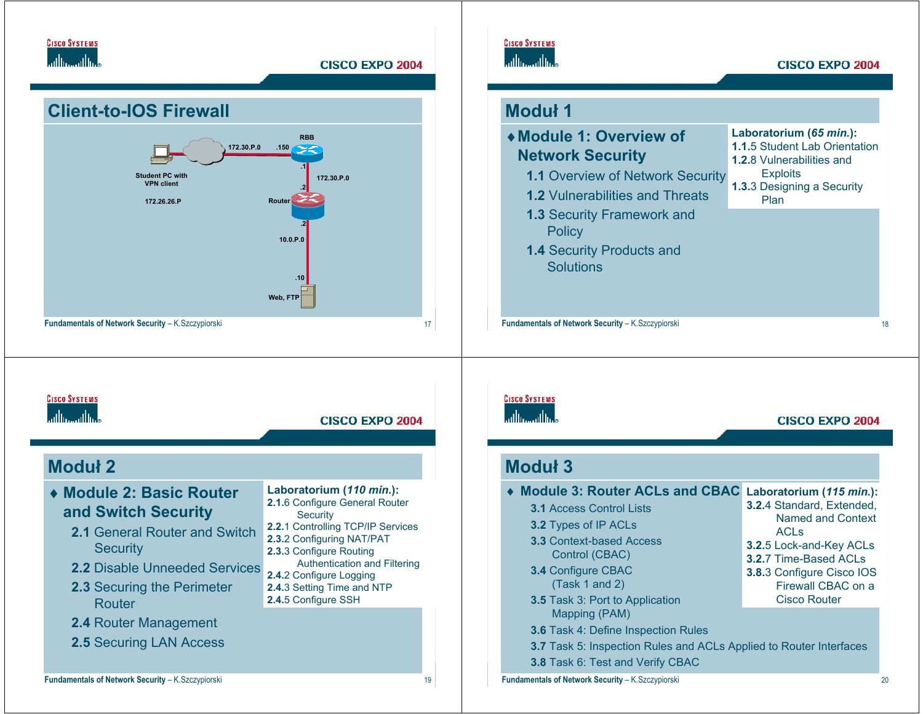![](_page_4_Picture_0.jpeg)

![](_page_4_Figure_2.jpeg)

![](_page_4_Picture_4.jpeg)

#### **CISCO EXPO 2004**

| Moduł 1                                                                                                                                       |                                                                                              |
|-----------------------------------------------------------------------------------------------------------------------------------------------|----------------------------------------------------------------------------------------------|
| ◆ Module 1: Overview of<br><b>Network Security</b>                                                                                            | Laboratorium (65 min.):<br>1.1.5 Student Lab Orientation<br><b>1.2.8 Vulnerabilities and</b> |
| 1.1 Overview of Network Security<br><b>1.2 Vulnerabilities and Threats</b>                                                                    | <b>Exploits</b><br>1.3.3 Designing a Security<br>Plan                                        |
| 1.3 Security Framework and<br><b>Policy</b>                                                                                                   |                                                                                              |
| 1.4 Security Products and<br><b>Solutions</b>                                                                                                 |                                                                                              |
|                                                                                                                                               |                                                                                              |
| Fundamentals of Network Security - K.Szczypiorski                                                                                             |                                                                                              |
| ومناأان ومناأاته                                                                                                                              | <b>CISCO EXPO 2004</b>                                                                       |
|                                                                                                                                               |                                                                                              |
| <b>CISCO SYSTEMS</b><br><b>Moduł 3</b>                                                                                                        |                                                                                              |
| <b>Module 3: Router ACLs and CBAC</b><br>3.1 Access Control Lists<br>3.2 Types of IP ACLs                                                     | Laboratorium (115 min.):<br>3.2.4 Standard, Extended,<br><b>Named and Context</b>            |
| 3.3 Context-based Access<br>Control (CBAC)                                                                                                    | <b>ACLs</b><br>3.2.5 Lock-and-Key ACLs<br>3.2.7 Time-Based ACLs                              |
| 3.4 Configure CBAC<br>(Task 1 and 2)                                                                                                          | 3.8.3 Configure Cisco IOS<br>Firewall CBAC on a<br><b>Cisco Router</b>                       |
| 3.5 Task 3: Port to Application<br>Mapping (PAM)                                                                                              |                                                                                              |
| 3.6 Task 4: Define Inspection Rules<br>3.7 Task 5: Inspection Rules and ACLs Applied to Router Interfaces<br>3.8 Task 6: Test and Verify CBAC |                                                                                              |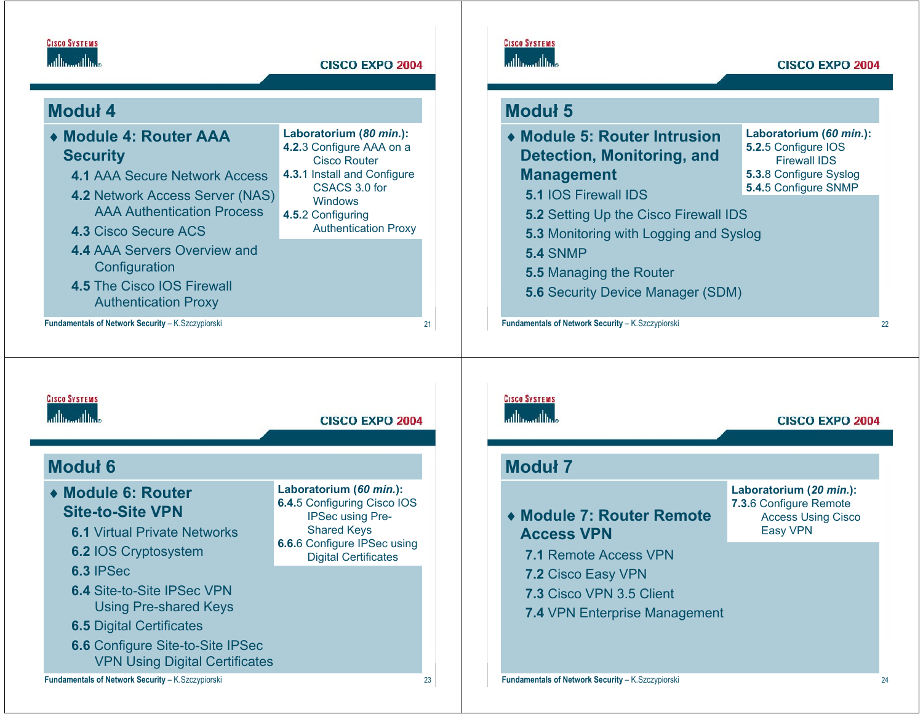![](_page_5_Picture_0.jpeg)

# **Moduł 4**

| ◆ Module 4: Router AAA<br><b>Security</b><br><b>4.1 AAA Secure Network Access</b><br><b>4.2 Network Access Server (NAS)</b><br><b>AAA Authentication Process</b><br><b>4.3 Cisco Secure ACS</b><br><b>4.4 AAA Servers Overview and</b><br>Configuration<br><b>4.5 The Cisco IOS Firewall</b><br><b>Authentication Proxy</b> | Laboratorium (80 min.):<br>4.2.3 Configure AAA on a<br><b>Cisco Router</b><br>4.3.1 Install and Configure<br>CSACS 3.0 for<br>Windows<br>4.5.2 Configuring<br><b>Authentication Proxy</b> |    |
|-----------------------------------------------------------------------------------------------------------------------------------------------------------------------------------------------------------------------------------------------------------------------------------------------------------------------------|-------------------------------------------------------------------------------------------------------------------------------------------------------------------------------------------|----|
| <b>Fundamentals of Network Security - K. Szczypiorski</b>                                                                                                                                                                                                                                                                   |                                                                                                                                                                                           | 21 |

# **CISCO SYSTEMS** ومالس مالسا

#### **CISCO EXPO 2004**

# **Moduł 5**

| • Module 5: Router Intrusion<br><b>Detection, Monitoring, and</b><br><b>Management</b> | Laboratorium (60 min.):<br>5.2.5 Configure IOS<br><b>Firewall IDS</b><br>5.3.8 Configure Syslog |  |
|----------------------------------------------------------------------------------------|-------------------------------------------------------------------------------------------------|--|
| <b>5.1 IOS Firewall IDS</b>                                                            | 5.4.5 Configure SNMP                                                                            |  |
| 5.2 Setting Up the Cisco Firewall IDS                                                  |                                                                                                 |  |
| 5.3 Monitoring with Logging and Syslog                                                 |                                                                                                 |  |
| <b>5.4 SNMP</b>                                                                        |                                                                                                 |  |
| <b>5.5 Managing the Router</b>                                                         |                                                                                                 |  |
| <b>5.6 Security Device Manager (SDM)</b>                                               |                                                                                                 |  |
|                                                                                        |                                                                                                 |  |

**Fundamentals of Network Security** – K.Szczypiorski <sup>22</sup>

## **CISCO SYSTEMS** ويتألسونالسا

### **CISCO EXPO 2004 Moduł 6Laboratorium (***60 min.***):** ♦ **Module 6: Router 6.4.**5 Configuring Cisco IOS **Site-to-Site VPN**IPSec using Pre-Shared Keys **6.1** Virtual Private Networks**6.6.**6 Configure IPSec using **6.2** IOS Cryptosystem Digital Certificates **6.3** IPSec**6.4** Site-to-Site IPSec VPN Using Pre-shared Keys **6.5** Digital Certificates **6.6** Configure Site-to-Site IPSec VPN Using Digital Certificates

# **CISCO SYSTEMS** athamathas **CISCO EXPO 2004 Moduł 7 Laboratorium (***20 min.***): 7.3.**6 Configure Remote ♦ **Module 7: Router Remote**  Access Using Cisco Easy VPN **Access VPN 7.1** Remote Access VPN**7.2** Cisco Easy VPN **7.3** Cisco VPN 3.5 Client **7.4** VPN Enterprise Management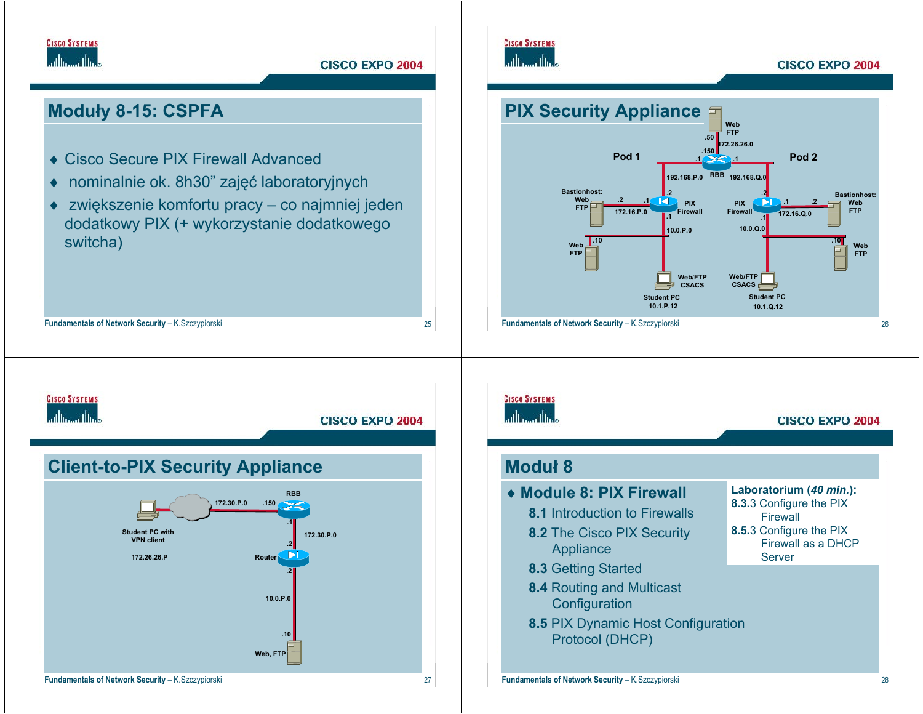![](_page_6_Picture_0.jpeg)

# **Moduły 8-15: CSPFA**

- ♦ Cisco Secure PIX Firewall Advanced
- ♦nominalnie ok. 8h30" zajęć laboratoryjnych
- ♦ zwiększenie komfortu pracy – co najmniej jeden dodatkowy PIX (+ wykorzystanie dodatkowego switcha)

**Fundamentals of Network Security** – K.Szczypiorski <sup>25</sup>

![](_page_6_Figure_6.jpeg)

#### **CISCO EXPO 2004**

![](_page_6_Figure_8.jpeg)

## **CISCO SYSTEMS** أعطاه ومعالمه **CISCO EXPO 2004 Client-to-PIX Security Appliance RBB172.30.P.0.150.1Student PC with172.30.P.0VPN client .2172.26.26.PRouter .210.0.P.0.10Web, FTP Fundamentals of Network Security** – K.Szczypiorski <sup>27</sup>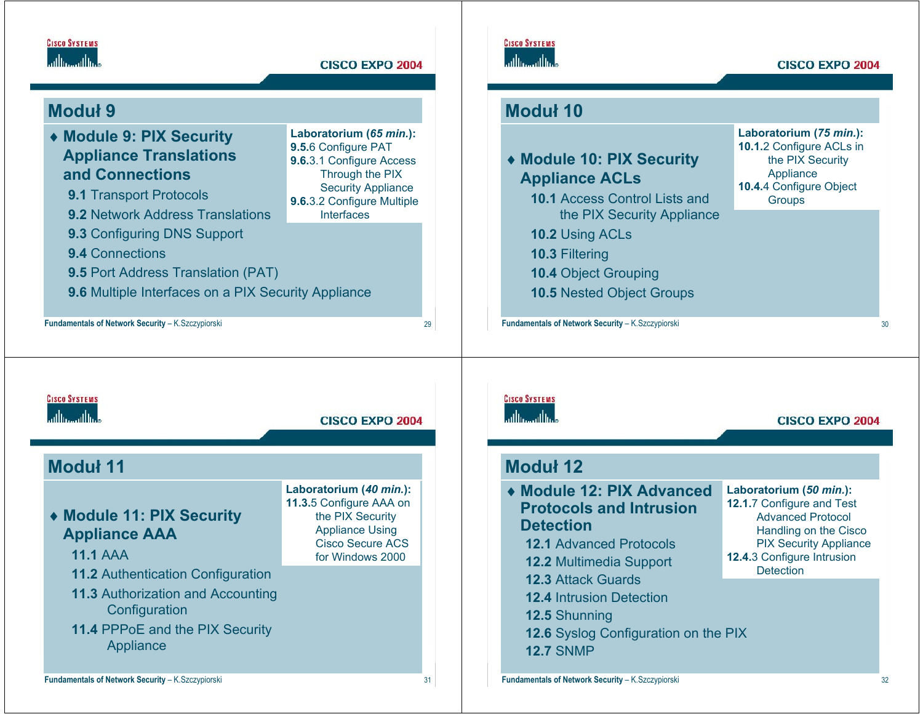![](_page_7_Picture_0.jpeg)

# **Moduł 9**

| ◆ Module 9: PIX Security<br><b>Appliance Translations</b><br>and Connections<br><b>9.1 Transport Protocols</b><br><b>9.2 Network Address Translations</b> | Laboratorium (65 min.):<br>9.5.6 Configure PAT<br>9.6.3.1 Configure Access<br>Through the PIX<br><b>Security Appliance</b><br>9.6.3.2 Configure Multiple<br><b>Interfaces</b> |    | ◆ Module 10: PIX Security<br><b>Appliance ACLs</b><br><b>10.1 Access Control Lists and</b><br>the PIX Security Appliance | Laboratorium (75 min.):<br>10.1.2 Configure ACLs in<br>the PIX Security<br>Appliance<br>10.4.4 Configure Object<br>Groups |
|-----------------------------------------------------------------------------------------------------------------------------------------------------------|-------------------------------------------------------------------------------------------------------------------------------------------------------------------------------|----|--------------------------------------------------------------------------------------------------------------------------|---------------------------------------------------------------------------------------------------------------------------|
| 9.3 Configuring DNS Support                                                                                                                               |                                                                                                                                                                               |    | 10.2 Using ACLs                                                                                                          |                                                                                                                           |
| <b>9.4 Connections</b>                                                                                                                                    |                                                                                                                                                                               |    | <b>10.3 Filtering</b>                                                                                                    |                                                                                                                           |
| <b>9.5 Port Address Translation (PAT)</b>                                                                                                                 |                                                                                                                                                                               |    | <b>10.4 Object Grouping</b>                                                                                              |                                                                                                                           |
| 9.6 Multiple Interfaces on a PIX Security Appliance                                                                                                       |                                                                                                                                                                               |    | <b>10.5 Nested Object Groups</b>                                                                                         |                                                                                                                           |
| Fundamentals of Network Security - K. Szczypiorski                                                                                                        |                                                                                                                                                                               | 29 | Fundamentals of Network Security - K.Szczypiorski                                                                        |                                                                                                                           |
|                                                                                                                                                           |                                                                                                                                                                               |    |                                                                                                                          |                                                                                                                           |
|                                                                                                                                                           |                                                                                                                                                                               |    |                                                                                                                          |                                                                                                                           |
|                                                                                                                                                           |                                                                                                                                                                               |    |                                                                                                                          |                                                                                                                           |

**CISCO SYSTEMS** 

| ى ئاللانچى ئاللان |                                                                                                                                                              | <b>CISCO EXPO 2004</b>                                                                                                                          |  |  |  |
|-------------------|--------------------------------------------------------------------------------------------------------------------------------------------------------------|-------------------------------------------------------------------------------------------------------------------------------------------------|--|--|--|
|                   | Moduł 11                                                                                                                                                     |                                                                                                                                                 |  |  |  |
|                   | ◆ Module 11: PIX Security<br><b>Appliance AAA</b><br><b>11.1 AAA</b>                                                                                         | Laboratorium (40 min.):<br>11.3.5 Configure AAA on<br>the PIX Security<br><b>Appliance Using</b><br><b>Cisco Secure ACS</b><br>for Windows 2000 |  |  |  |
|                   | <b>11.2 Authentication Configuration</b><br><b>11.3 Authorization and Accounting</b><br>Configuration<br><b>11.4 PPPoE and the PIX Security</b><br>Appliance |                                                                                                                                                 |  |  |  |

## **CISCO SYSTEMS** athamathas

**CISCO EXPO 2004** 

# **Moduł 12**

**Moduł 10**

**CISCO SYSTEMS** 

وبالسوالة

# ♦ **Module 12: PIX Advanced Protocols and Intrusion Detection**

- **12.1** Advanced Protocols
- **12.2** Multimedia Support
- **12.3** Attack Guards
- **12.4** Intrusion Detection
- **12.5** Shunning
- **12.6** Syslog Configuration on the PIX **12.7** SNMP
- **Laboratorium (***50 min.***): 12.1.**7 Configure and Test Advanced Protocol Handling on the Cisco PIX Security Appliance **12.4.**3 Configure Intrusion **Detection**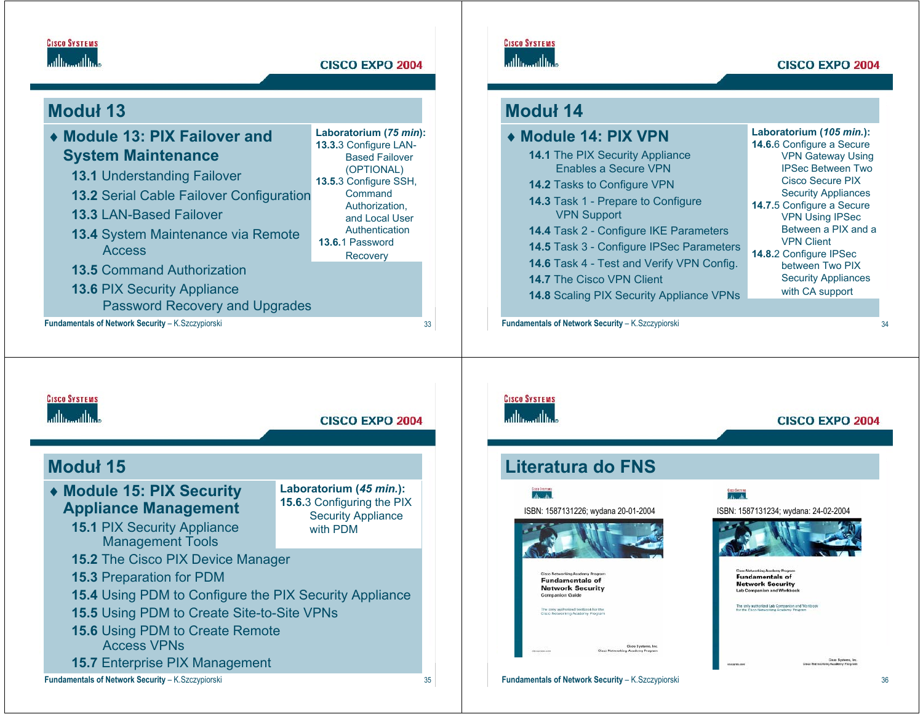![](_page_8_Picture_0.jpeg)

# **Moduł 13**

**Fundamentals of Network Security** – K.Szczypiorski <sup>33</sup> ♦ **Module 13: PIX Failover and System Maintenance 13.1** Understanding Failover **13.2** Serial Cable Failover Configuration **13.3** LAN-Based Failover**13.4** System Maintenance via Remote Access**13.5** Command Authorization**13.6** PIX Security Appliance Password Recovery and Upgrades Laboratorium (75 min): **13.3.**3 Configure LAN-Based Failover (OPTIONAL) **13.5.**3 Configure SSH, CommandAuthorization, and Local User **Authentication 13.6.**1 Password **Recovery** 

## **CISCO SYSTEMS** عباله عبالها

#### **CISCO EXPO 2004**

# **Moduł 14**

| ◆ Module 14: PIX VPN                                                                                                                                                                                            | Laboratorium (105 min.):<br>14.6.6 Configure a Secure                                                                                                            |
|-----------------------------------------------------------------------------------------------------------------------------------------------------------------------------------------------------------------|------------------------------------------------------------------------------------------------------------------------------------------------------------------|
| <b>14.1 The PIX Security Appliance</b><br>Enables a Secure VPN<br>14.2 Tasks to Configure VPN<br>14.3 Task 1 - Prepare to Configure<br><b>VPN Support</b>                                                       | <b>VPN Gateway Using</b><br><b>IPSec Between Two</b><br>Cisco Secure PIX<br><b>Security Appliances</b><br>14.7.5 Configure a Secure                              |
| 14.4 Task 2 - Configure IKE Parameters<br>14.5 Task 3 - Configure IPSec Parameters<br>14.6 Task 4 - Test and Verify VPN Config.<br><b>14.7 The Cisco VPN Client</b><br>14.8 Scaling PIX Security Appliance VPNs | <b>VPN Using IPSec</b><br>Between a PIX and a<br><b>VPN Client</b><br>14.8.2 Configure IPSec<br>between Two PIX<br><b>Security Appliances</b><br>with CA support |

**Fundamentals of Network Security** – K.Szczypiorski <sup>34</sup>

## **CISCO SYSTEMS** أعطانت عطانت

## **CISCO EXPO 2004 Moduł 15Laboratorium (***45 min.***):**  ♦ **Module 15: PIX Security 15.6.**3 Configuring the PIX **Appliance Management** Security Appliance **15.1** PIX Security Appliance with PDM Management Tools **15.2** The Cisco PIX Device Manager **15.3** Preparation for PDM **15.4** Using PDM to Configure the PIX Security Appliance **15.5** Using PDM to Create Site-to-Site VPNs **15.6** Using PDM to Create Remote Access VPNs**15.7** Enterprise PIX Management **Fundamentals of Network Security** – K.Szczypiorski <sup>35</sup>

# **CISCO SYSTEMS**

# عبالس عبالها

## **CISCO EXPO 2004**

# **Literatura do FNS**

#### $A_2$   $A_3$

![](_page_8_Picture_17.jpeg)

**Fundamentals of Network Security Companion Guide** 

Ciaco Systems, In

![](_page_8_Picture_21.jpeg)

**Fundamentals of Network Security** b Companion and Workbo

#### **he only authorized Lab Companion and Work**<br>or the Cinco Networking Academy Program

.<br>Class Systems, Inc.<br>ng Academy Program